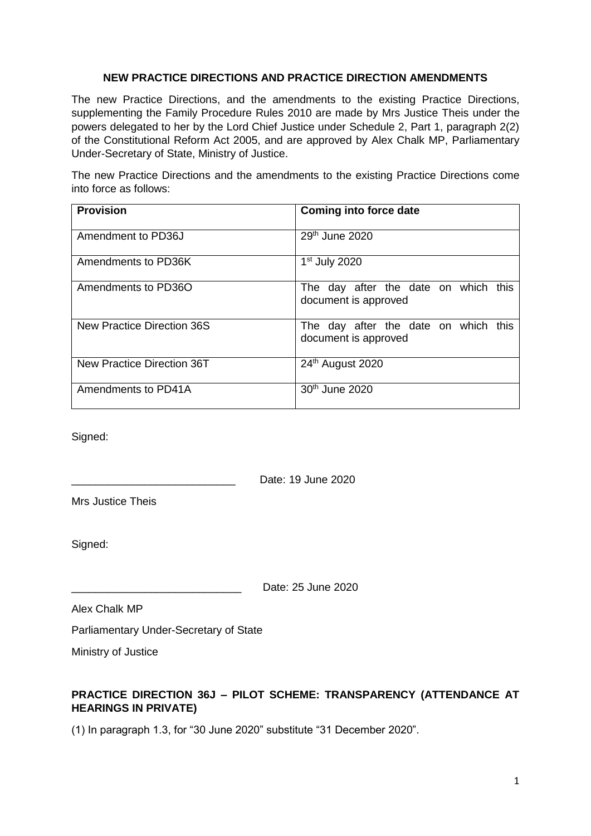#### **NEW PRACTICE DIRECTIONS AND PRACTICE DIRECTION AMENDMENTS**

The new Practice Directions, and the amendments to the existing Practice Directions, supplementing the Family Procedure Rules 2010 are made by Mrs Justice Theis under the powers delegated to her by the Lord Chief Justice under Schedule 2, Part 1, paragraph 2(2) of the Constitutional Reform Act 2005, and are approved by Alex Chalk MP, Parliamentary Under-Secretary of State, Ministry of Justice.

The new Practice Directions and the amendments to the existing Practice Directions come into force as follows:

| <b>Provision</b>           | Coming into force date                                       |
|----------------------------|--------------------------------------------------------------|
| Amendment to PD36J         | 29 <sup>th</sup> June 2020                                   |
| Amendments to PD36K        | $1st$ July 2020                                              |
| Amendments to PD36O        | The day after the date on which this<br>document is approved |
| New Practice Direction 36S | The day after the date on which this<br>document is approved |
| New Practice Direction 36T | 24 <sup>th</sup> August 2020                                 |
| Amendments to PD41A        | 30 <sup>th</sup> June 2020                                   |

Signed:

\_\_\_\_\_\_\_\_\_\_\_\_\_\_\_\_\_\_\_\_\_\_\_\_\_\_\_ Date: 19 June 2020

Mrs Justice Theis

Signed:

\_\_\_\_\_\_\_\_\_\_\_\_\_\_\_\_\_\_\_\_\_\_\_\_\_\_\_\_ Date: 25 June 2020

Alex Chalk MP

Parliamentary Under-Secretary of State

Ministry of Justice

# **PRACTICE DIRECTION 36J – PILOT SCHEME: TRANSPARENCY (ATTENDANCE AT HEARINGS IN PRIVATE)**

(1) In paragraph 1.3, for "30 June 2020" substitute "31 December 2020".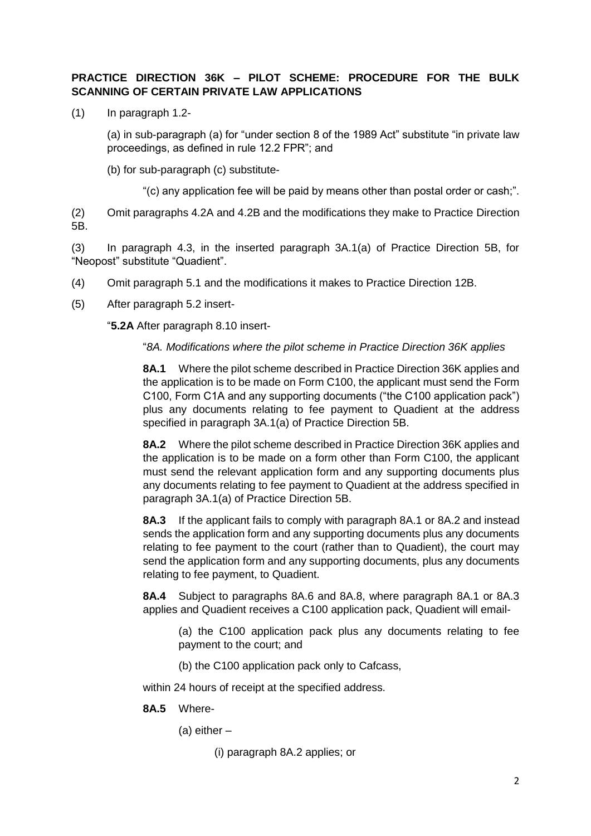# **PRACTICE DIRECTION 36K – PILOT SCHEME: PROCEDURE FOR THE BULK SCANNING OF CERTAIN PRIVATE LAW APPLICATIONS**

(1) In paragraph 1.2-

(a) in sub-paragraph (a) for "under section 8 of the 1989 Act" substitute "in private law proceedings, as defined in rule 12.2 FPR"; and

(b) for sub-paragraph (c) substitute-

"(c) any application fee will be paid by means other than postal order or cash;".

(2) Omit paragraphs 4.2A and 4.2B and the modifications they make to Practice Direction 5B.

(3) In paragraph 4.3, in the inserted paragraph 3A.1(a) of Practice Direction 5B, for "Neopost" substitute "Quadient".

- (4) Omit paragraph 5.1 and the modifications it makes to Practice Direction 12B.
- (5) After paragraph 5.2 insert-

"**5.2A** After paragraph 8.10 insert-

"*8A. Modifications where the pilot scheme in Practice Direction 36K applies*

**8A.1** Where the pilot scheme described in Practice Direction 36K applies and the application is to be made on Form C100, the applicant must send the Form C100, Form C1A and any supporting documents ("the C100 application pack") plus any documents relating to fee payment to Quadient at the address specified in paragraph 3A.1(a) of Practice Direction 5B.

**8A.2** Where the pilot scheme described in Practice Direction 36K applies and the application is to be made on a form other than Form C100, the applicant must send the relevant application form and any supporting documents plus any documents relating to fee payment to Quadient at the address specified in paragraph 3A.1(a) of Practice Direction 5B.

**8A.3** If the applicant fails to comply with paragraph 8A.1 or 8A.2 and instead sends the application form and any supporting documents plus any documents relating to fee payment to the court (rather than to Quadient), the court may send the application form and any supporting documents, plus any documents relating to fee payment, to Quadient.

**8A.4** Subject to paragraphs 8A.6 and 8A.8, where paragraph 8A.1 or 8A.3 applies and Quadient receives a C100 application pack, Quadient will email-

- (a) the C100 application pack plus any documents relating to fee payment to the court; and
- (b) the C100 application pack only to Cafcass,

within 24 hours of receipt at the specified address.

**8A.5** Where-

(a) either –

<sup>(</sup>i) paragraph 8A.2 applies; or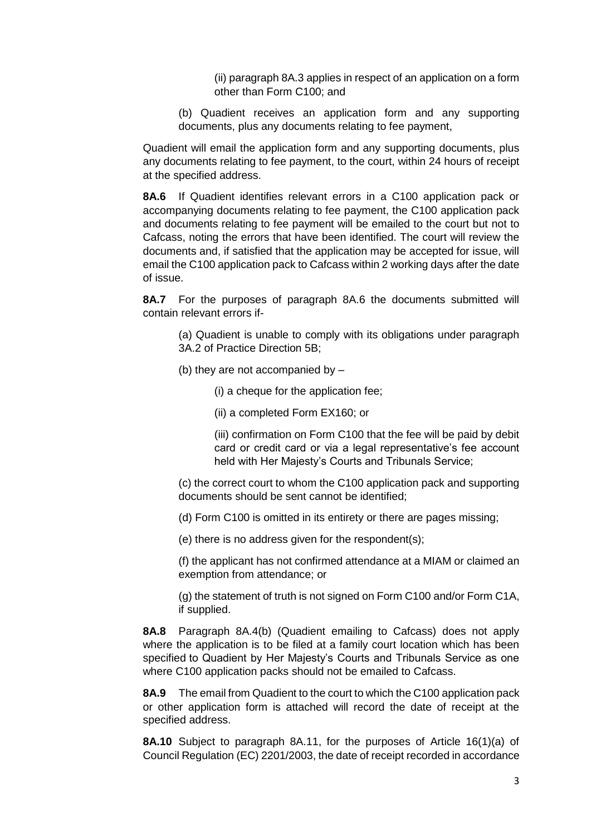(ii) paragraph 8A.3 applies in respect of an application on a form other than Form C100; and

(b) Quadient receives an application form and any supporting documents, plus any documents relating to fee payment,

Quadient will email the application form and any supporting documents, plus any documents relating to fee payment, to the court, within 24 hours of receipt at the specified address.

**8A.6** If Quadient identifies relevant errors in a C100 application pack or accompanying documents relating to fee payment, the C100 application pack and documents relating to fee payment will be emailed to the court but not to Cafcass, noting the errors that have been identified. The court will review the documents and, if satisfied that the application may be accepted for issue, will email the C100 application pack to Cafcass within 2 working days after the date of issue.

**8A.7** For the purposes of paragraph 8A.6 the documents submitted will contain relevant errors if-

(a) Quadient is unable to comply with its obligations under paragraph 3A.2 of Practice Direction 5B;

- (b) they are not accompanied by
	- (i) a cheque for the application fee;
	- (ii) a completed Form EX160; or

(iii) confirmation on Form C100 that the fee will be paid by debit card or credit card or via a legal representative's fee account held with Her Majesty's Courts and Tribunals Service;

(c) the correct court to whom the C100 application pack and supporting documents should be sent cannot be identified;

(d) Form C100 is omitted in its entirety or there are pages missing;

(e) there is no address given for the respondent(s);

(f) the applicant has not confirmed attendance at a MIAM or claimed an exemption from attendance; or

(g) the statement of truth is not signed on Form C100 and/or Form C1A, if supplied.

**8A.8** Paragraph 8A.4(b) (Quadient emailing to Cafcass) does not apply where the application is to be filed at a family court location which has been specified to Quadient by Her Majesty's Courts and Tribunals Service as one where C100 application packs should not be emailed to Cafcass.

**8A.9** The email from Quadient to the court to which the C100 application pack or other application form is attached will record the date of receipt at the specified address.

**8A.10** Subject to paragraph 8A.11, for the purposes of Article 16(1)(a) of Council Regulation (EC) 2201/2003, the date of receipt recorded in accordance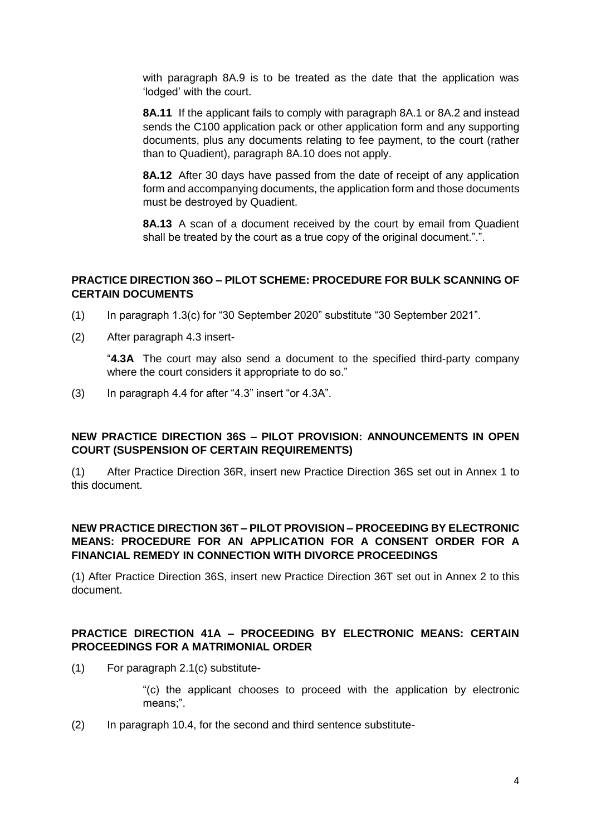with paragraph 8A.9 is to be treated as the date that the application was 'lodged' with the court.

**8A.11** If the applicant fails to comply with paragraph 8A.1 or 8A.2 and instead sends the C100 application pack or other application form and any supporting documents, plus any documents relating to fee payment, to the court (rather than to Quadient), paragraph 8A.10 does not apply.

**8A.12** After 30 days have passed from the date of receipt of any application form and accompanying documents, the application form and those documents must be destroyed by Quadient.

**8A.13** A scan of a document received by the court by email from Quadient shall be treated by the court as a true copy of the original document.".".

#### **PRACTICE DIRECTION 36O – PILOT SCHEME: PROCEDURE FOR BULK SCANNING OF CERTAIN DOCUMENTS**

- (1) In paragraph 1.3(c) for "30 September 2020" substitute "30 September 2021".
- (2) After paragraph 4.3 insert-

"**4.3A** The court may also send a document to the specified third-party company where the court considers it appropriate to do so."

(3) In paragraph 4.4 for after "4.3" insert "or 4.3A".

### **NEW PRACTICE DIRECTION 36S – PILOT PROVISION: ANNOUNCEMENTS IN OPEN COURT (SUSPENSION OF CERTAIN REQUIREMENTS)**

(1) After Practice Direction 36R, insert new Practice Direction 36S set out in Annex 1 to this document.

### **NEW PRACTICE DIRECTION 36T – PILOT PROVISION – PROCEEDING BY ELECTRONIC MEANS: PROCEDURE FOR AN APPLICATION FOR A CONSENT ORDER FOR A FINANCIAL REMEDY IN CONNECTION WITH DIVORCE PROCEEDINGS**

(1) After Practice Direction 36S, insert new Practice Direction 36T set out in Annex 2 to this document.

### **PRACTICE DIRECTION 41A – PROCEEDING BY ELECTRONIC MEANS: CERTAIN PROCEEDINGS FOR A MATRIMONIAL ORDER**

(1) For paragraph 2.1(c) substitute-

"(c) the applicant chooses to proceed with the application by electronic means;".

(2) In paragraph 10.4, for the second and third sentence substitute-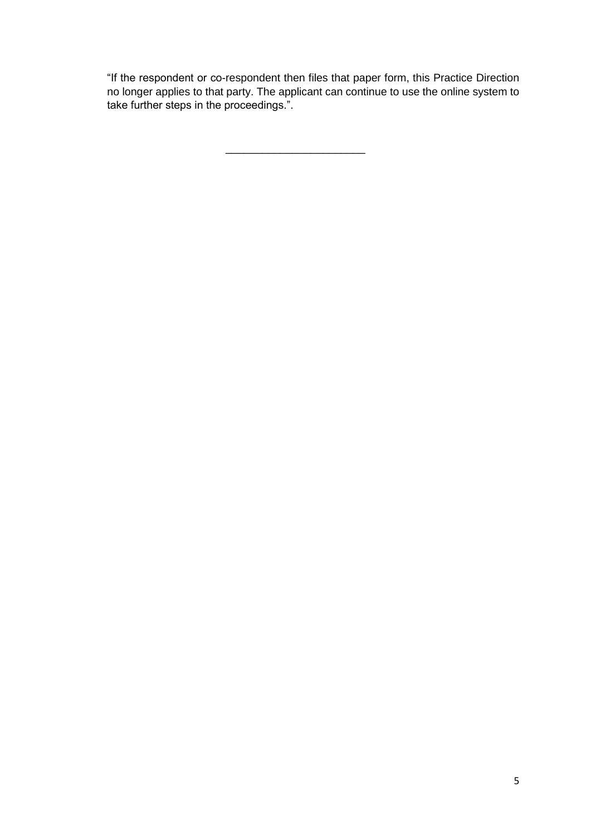"If the respondent or co-respondent then files that paper form, this Practice Direction no longer applies to that party. The applicant can continue to use the online system to take further steps in the proceedings.".

\_\_\_\_\_\_\_\_\_\_\_\_\_\_\_\_\_\_\_\_\_\_\_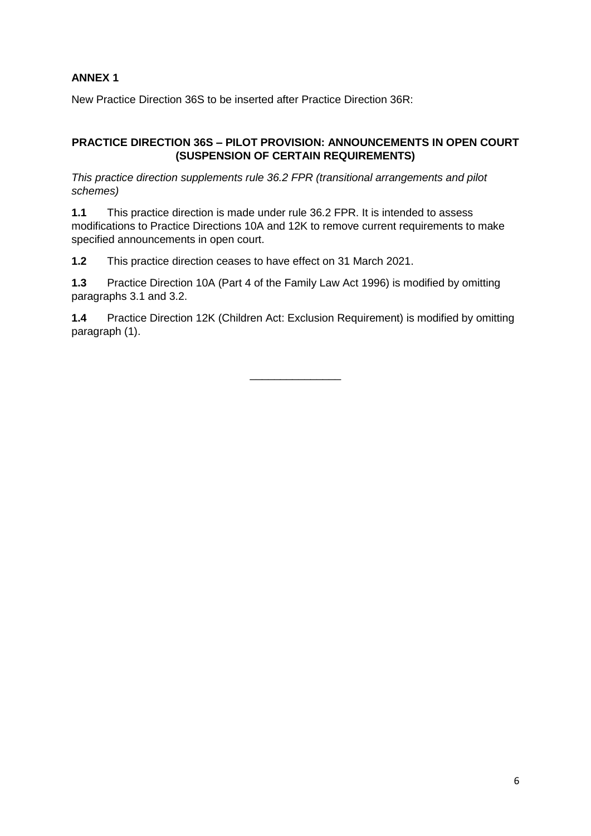# **ANNEX 1**

New Practice Direction 36S to be inserted after Practice Direction 36R:

# **PRACTICE DIRECTION 36S – PILOT PROVISION: ANNOUNCEMENTS IN OPEN COURT (SUSPENSION OF CERTAIN REQUIREMENTS)**

*This practice direction supplements rule 36.2 FPR (transitional arrangements and pilot schemes)*

**1.1** This practice direction is made under rule 36.2 FPR. It is intended to assess modifications to Practice Directions 10A and 12K to remove current requirements to make specified announcements in open court.

**1.2** This practice direction ceases to have effect on 31 March 2021.

**1.3** Practice Direction 10A (Part 4 of the Family Law Act 1996) is modified by omitting paragraphs 3.1 and 3.2.

**1.4** Practice Direction 12K (Children Act: Exclusion Requirement) is modified by omitting paragraph (1).

\_\_\_\_\_\_\_\_\_\_\_\_\_\_\_